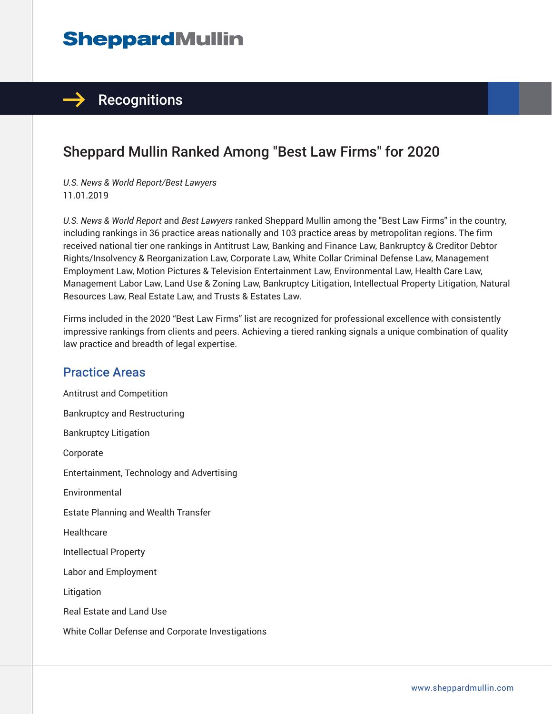# **SheppardMullin**

### $\rightarrow$  Recognitions

## Sheppard Mullin Ranked Among "Best Law Firms" for 2020

*U.S. News & World Report/Best Lawyers* 11.01.2019

*U.S. News & World Report* and *Best Lawyers* ranked Sheppard Mullin among the "Best Law Firms" in the country, including rankings in 36 practice areas nationally and 103 practice areas by metropolitan regions. The firm received national tier one rankings in Antitrust Law, Banking and Finance Law, Bankruptcy & Creditor Debtor Rights/Insolvency & Reorganization Law, Corporate Law, White Collar Criminal Defense Law, Management Employment Law, Motion Pictures & Television Entertainment Law, Environmental Law, Health Care Law, Management Labor Law, Land Use & Zoning Law, Bankruptcy Litigation, Intellectual Property Litigation, Natural Resources Law, Real Estate Law, and Trusts & Estates Law.

Firms included in the 2020 "Best Law Firms" list are recognized for professional excellence with consistently impressive rankings from clients and peers. Achieving a tiered ranking signals a unique combination of quality law practice and breadth of legal expertise.

#### Practice Areas

Antitrust and Competition Bankruptcy and Restructuring Bankruptcy Litigation Corporate Entertainment, Technology and Advertising Environmental Estate Planning and Wealth Transfer **Healthcare** Intellectual Property Labor and Employment Litigation Real Estate and Land Use White Collar Defense and Corporate Investigations